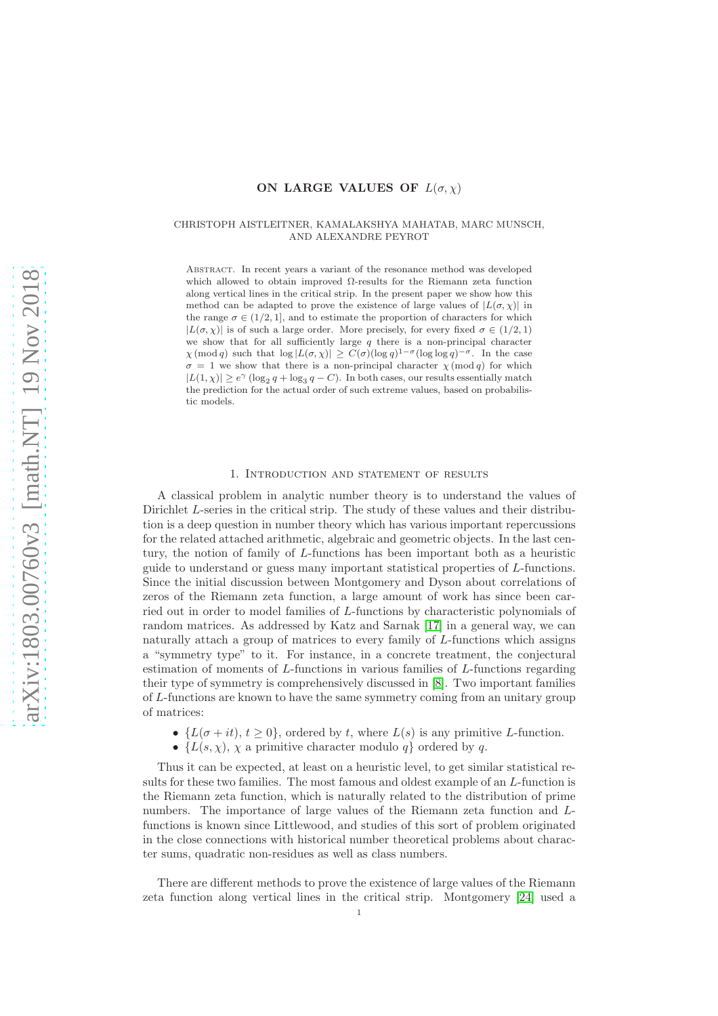# ON LARGE VALUES OF  $L(\sigma, \chi)$

## CHRISTOPH AISTLEITNER, KAMALAKSHYA MAHATAB, MARC MUNSCH, AND ALEXANDRE PEYROT

Abstract. In recent years a variant of the resonance method was developed which allowed to obtain improved  $\Omega$ -results for the Riemann zeta function along vertical lines in the critical strip. In the present paper we show how this method can be adapted to prove the existence of large values of  $|L(\sigma, \chi)|$  in the range  $\sigma \in (1/2, 1]$ , and to estimate the proportion of characters for which  $|L(\sigma, \chi)|$  is of such a large order. More precisely, for every fixed  $\sigma \in (1/2, 1)$ we show that for all sufficiently large  $q$  there is a non-principal character  $\chi \pmod{q}$  such that  $\log |L(\sigma, \chi)| \ge C(\sigma)(\log q)^{1-\sigma}(\log \log q)^{-\sigma}$ . In the case  $\sigma = 1$  we show that there is a non-principal character  $\chi \pmod{q}$  for which  $|L(1,\chi)|\geq e^\gamma\,(\log_2 q+\log_3 q-C).$  In both cases, our results essentially match the prediction for the actual order of such extreme values, based on probabilistic models.

### 1. Introduction and statement of results

A classical problem in analytic number theory is to understand the values of Dirichlet L-series in the critical strip. The study of these values and their distribution is a deep question in number theory which has various important repercussions for the related attached arithmetic, algebraic and geometric objects. In the last century, the notion of family of L-functions has been important both as a heuristic guide to understand or guess many important statistical properties of L-functions. Since the initial discussion between Montgomery and Dyson about correlations of zeros of the Riemann zeta function, a large amount of work has since been carried out in order to model families of L-functions by characteristic polynomials of random matrices. As addressed by Katz and Sarnak [\[17\]](#page-14-0) in a general way, we can naturally attach a group of matrices to every family of L-functions which assigns a "symmetry type" to it. For instance, in a concrete treatment, the conjectural estimation of moments of L-functions in various families of L-functions regarding their type of symmetry is comprehensively discussed in [\[8\]](#page-14-1). Two important families of L-functions are known to have the same symmetry coming from an unitary group of matrices:

- $\{L(\sigma + it), t \geq 0\}$ , ordered by t, where  $L(s)$  is any primitive L-function.
- $\{L(s, \chi), \chi\}$  a primitive character modulo q ordered by q.

Thus it can be expected, at least on a heuristic level, to get similar statistical results for these two families. The most famous and oldest example of an L-function is the Riemann zeta function, which is naturally related to the distribution of prime numbers. The importance of large values of the Riemann zeta function and Lfunctions is known since Littlewood, and studies of this sort of problem originated in the close connections with historical number theoretical problems about character sums, quadratic non-residues as well as class numbers.

There are different methods to prove the existence of large values of the Riemann zeta function along vertical lines in the critical strip. Montgomery [\[24\]](#page-14-2) used a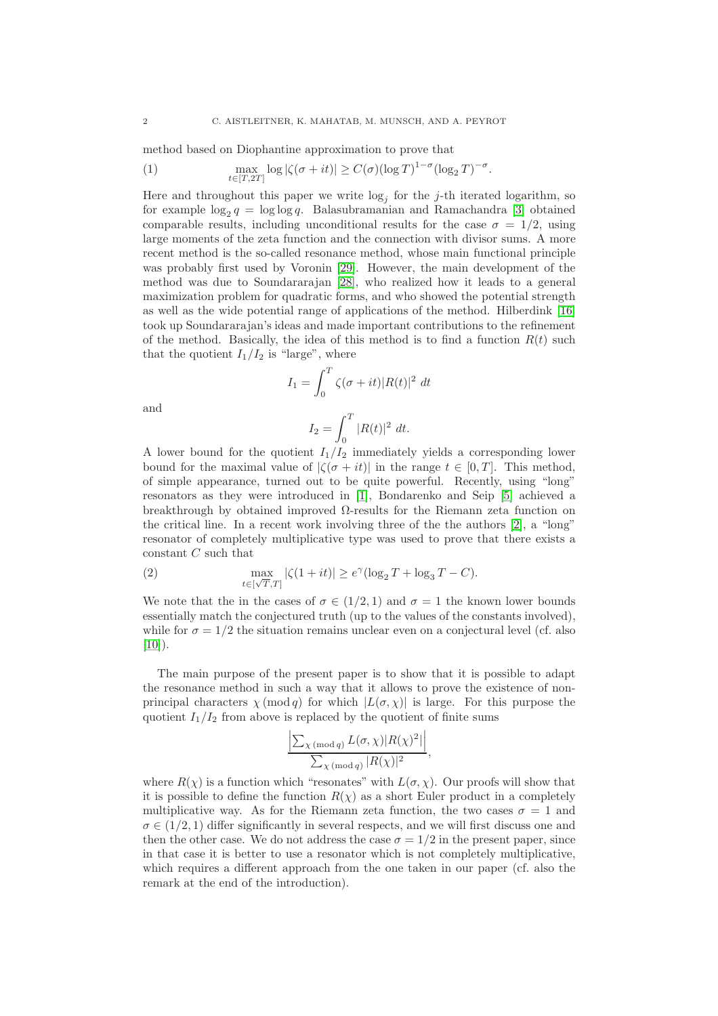method based on Diophantine approximation to prove that

(1) 
$$
\max_{t \in [T,2T]} \log |\zeta(\sigma+it)| \ge C(\sigma) (\log T)^{1-\sigma} (\log_2 T)^{-\sigma}.
$$

Here and throughout this paper we write  $log_j$  for the j-th iterated logarithm, so for example  $\log_2 q = \log \log q$ . Balasubramanian and Ramachandra [\[3\]](#page-13-0) obtained comparable results, including unconditional results for the case  $\sigma = 1/2$ , using large moments of the zeta function and the connection with divisor sums. A more recent method is the so-called resonance method, whose main functional principle was probably first used by Voronin [\[29\]](#page-14-3). However, the main development of the method was due to Soundararajan [\[28\]](#page-14-4), who realized how it leads to a general maximization problem for quadratic forms, and who showed the potential strength as well as the wide potential range of applications of the method. Hilberdink [\[16\]](#page-14-5) took up Soundararajan's ideas and made important contributions to the refinement of the method. Basically, the idea of this method is to find a function  $R(t)$  such that the quotient  $I_1/I_2$  is "large", where

$$
I_1 = \int_0^T \zeta(\sigma + it) |R(t)|^2 dt
$$

and

$$
I_2 = \int_0^T |R(t)|^2 \ dt.
$$

A lower bound for the quotient  $I_1/I_2$  immediately yields a corresponding lower bound for the maximal value of  $|\zeta(\sigma + it)|$  in the range  $t \in [0, T]$ . This method, of simple appearance, turned out to be quite powerful. Recently, using "long" resonators as they were introduced in [\[1\]](#page-13-1), Bondarenko and Seip [\[5\]](#page-13-2) achieved a breakthrough by obtained improved  $\Omega$ -results for the Riemann zeta function on the critical line. In a recent work involving three of the the authors [\[2\]](#page-13-3), a "long" resonator of completely multiplicative type was used to prove that there exists a constant C such that

<span id="page-1-0"></span>(2) 
$$
\max_{t \in [\sqrt{T}, T]} |\zeta(1 + it)| \ge e^{\gamma} (\log_2 T + \log_3 T - C).
$$

We note that the in the cases of  $\sigma \in (1/2, 1)$  and  $\sigma = 1$  the known lower bounds essentially match the conjectured truth (up to the values of the constants involved), while for  $\sigma = 1/2$  the situation remains unclear even on a conjectural level (cf. also  $[10]$ ).

The main purpose of the present paper is to show that it is possible to adapt the resonance method in such a way that it allows to prove the existence of nonprincipal characters  $\chi \pmod{q}$  for which  $|L(\sigma, \chi)|$  is large. For this purpose the quotient  $I_1/I_2$  from above is replaced by the quotient of finite sums

$$
\frac{\left|\sum_{\chi \pmod{q}} L(\sigma,\chi)|R(\chi)^2|\right|}{\sum_{\chi \pmod{q}}|R(\chi)|^2},
$$

where  $R(\chi)$  is a function which "resonates" with  $L(\sigma, \chi)$ . Our proofs will show that it is possible to define the function  $R(\chi)$  as a short Euler product in a completely multiplicative way. As for the Riemann zeta function, the two cases  $\sigma = 1$  and  $\sigma \in (1/2, 1)$  differ significantly in several respects, and we will first discuss one and then the other case. We do not address the case  $\sigma = 1/2$  in the present paper, since in that case it is better to use a resonator which is not completely multiplicative, which requires a different approach from the one taken in our paper (cf. also the remark at the end of the introduction).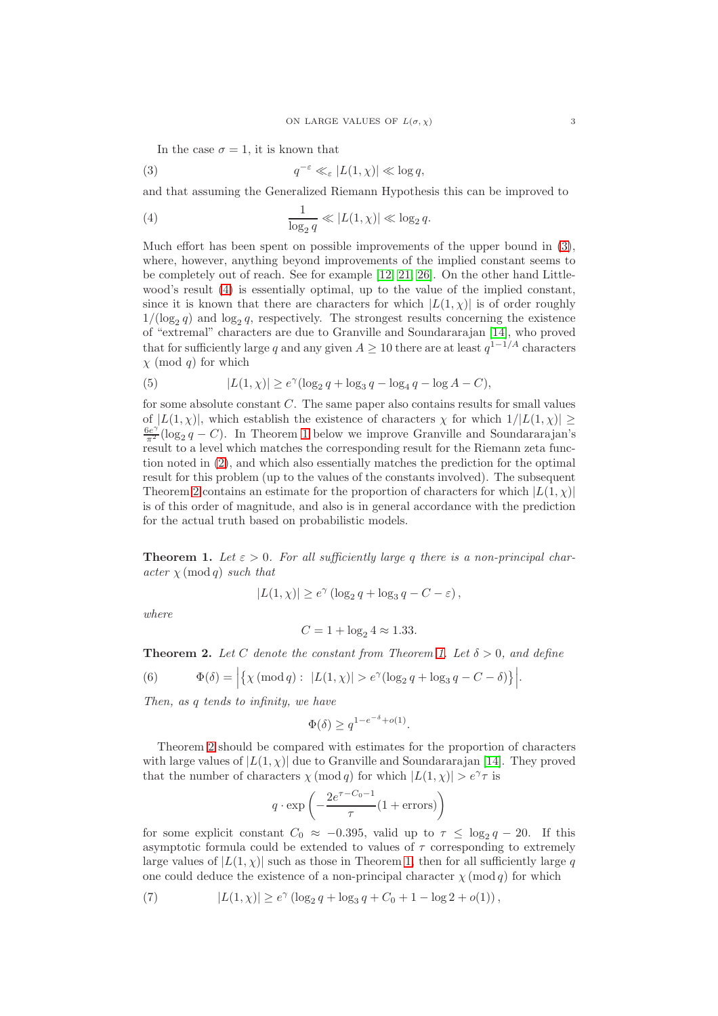<span id="page-2-0"></span>In the case  $\sigma = 1$ , it is known that

(3) 
$$
q^{-\varepsilon} \ll_{\varepsilon} |L(1,\chi)| \ll \log q,
$$

and that assuming the Generalized Riemann Hypothesis this can be improved to

<span id="page-2-1"></span>(4) 
$$
\frac{1}{\log_2 q} \ll |L(1, \chi)| \ll \log_2 q.
$$

Much effort has been spent on possible improvements of the upper bound in [\(3\)](#page-2-0), where, however, anything beyond improvements of the implied constant seems to be completely out of reach. See for example [\[12,](#page-14-7) [21,](#page-14-8) [26\]](#page-14-9). On the other hand Littlewood's result [\(4\)](#page-2-1) is essentially optimal, up to the value of the implied constant, since it is known that there are characters for which  $|L(1, \chi)|$  is of order roughly  $1/(\log_2 q)$  and  $\log_2 q$ , respectively. The strongest results concerning the existence of "extremal" characters are due to Granville and Soundararajan [\[14\]](#page-14-10), who proved that for sufficiently large q and any given  $A \geq 10$  there are at least  $q^{1-1/A}$  characters  $\chi \pmod{q}$  for which

(5) 
$$
|L(1,\chi)| \ge e^{\gamma} (\log_2 q + \log_3 q - \log_4 q - \log A - C),
$$

for some absolute constant  $C$ . The same paper also contains results for small values of  $|L(1, \chi)|$ , which establish the existence of characters  $\chi$  for which  $1/|L(1, \chi)| >$  $\frac{6e^{\gamma}}{\pi^2}(\log_2 q - C)$ . In Theorem [1](#page-2-2) below we improve Granville and Soundararajan's result to a level which matches the corresponding result for the Riemann zeta function noted in [\(2\)](#page-1-0), and which also essentially matches the prediction for the optimal result for this problem (up to the values of the constants involved). The subsequent Theorem [2](#page-2-3) contains an estimate for the proportion of characters for which  $|L(1, \chi)|$ is of this order of magnitude, and also is in general accordance with the prediction for the actual truth based on probabilistic models.

<span id="page-2-2"></span>**Theorem 1.** Let  $\varepsilon > 0$ . For all sufficiently large q there is a non-principal char- $\textit{acter}$   $\chi \pmod{q}$  *such that*

$$
|L(1,\chi)| \ge e^{\gamma} (\log_2 q + \log_3 q - C - \varepsilon),
$$

where

$$
C = 1 + \log_2 4 \approx 1.33.
$$

<span id="page-2-3"></span>**Theorem 2.** Let C denote the constant from Theorem [1.](#page-2-2) Let  $\delta > 0$ , and define

<span id="page-2-4"></span>(6) 
$$
\Phi(\delta) = \left| \{ \chi \, (\text{mod } q) : \ |L(1,\chi)| > e^{\gamma} (\log_2 q + \log_3 q - C - \delta) \} \right|.
$$

Then, as q tends to infinity, we have

$$
\Phi(\delta) \geq q^{1-e^{-\delta}+o(1)}.
$$

Theorem [2](#page-2-3) should be compared with estimates for the proportion of characters with large values of  $|L(1, \chi)|$  due to Granville and Soundararajan [\[14\]](#page-14-10). They proved that the number of characters  $\chi \pmod{q}$  for which  $|L(1, \chi)| > e^{\gamma} \tau$  is

$$
q \cdot \exp\left(-\frac{2e^{\tau - C_0 - 1}}{\tau} (1 + \text{errors})\right)
$$

for some explicit constant  $C_0 \approx -0.395$ , valid up to  $\tau \leq \log_2 q - 20$ . If this asymptotic formula could be extended to values of  $\tau$  corresponding to extremely large values of  $|L(1, \chi)|$  such as those in Theorem [1,](#page-2-2) then for all sufficiently large q one could deduce the existence of a non-principal character  $\chi \pmod{q}$  for which

<span id="page-2-5"></span>(7) 
$$
|L(1,\chi)| \ge e^{\gamma} (\log_2 q + \log_3 q + C_0 + 1 - \log 2 + o(1)),
$$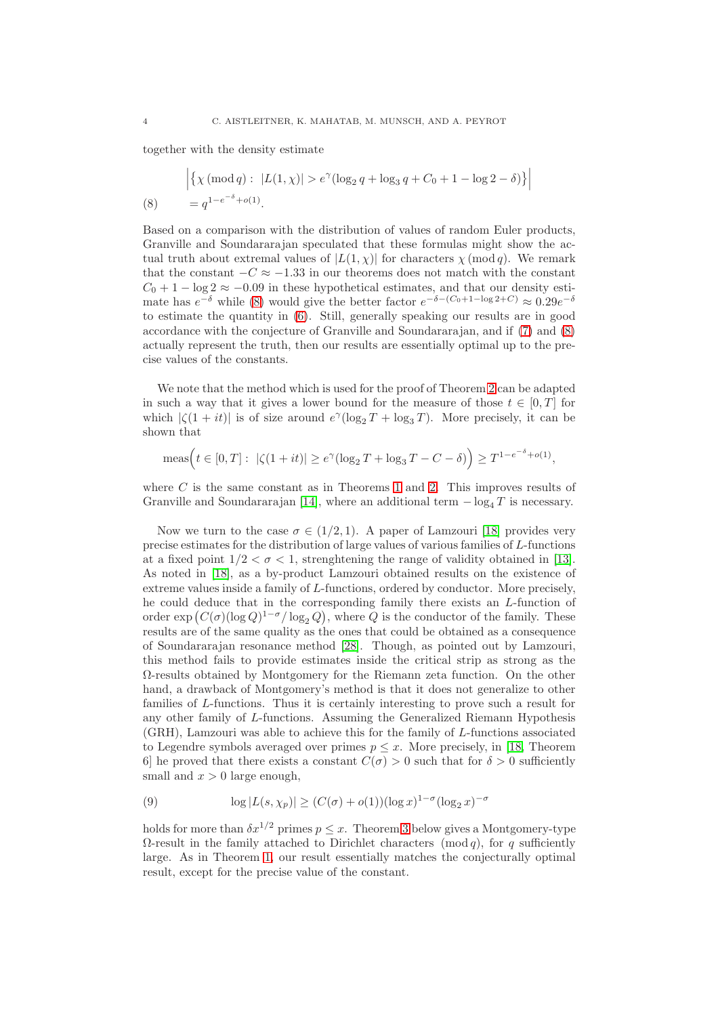together with the density estimate

<span id="page-3-0"></span>
$$
\left| \{ \chi \ (\text{mod } q) : \ |L(1, \chi)| > e^{\gamma} (\log_2 q + \log_3 q + C_0 + 1 - \log 2 - \delta) \} \right|
$$
  
(8) =  $q^{1 - e^{-\delta} + o(1)}$ .

Based on a comparison with the distribution of values of random Euler products, Granville and Soundararajan speculated that these formulas might show the actual truth about extremal values of  $|L(1, \chi)|$  for characters  $\chi \pmod{q}$ . We remark that the constant  $-C \approx -1.33$  in our theorems does not match with the constant  $C_0 + 1 - \log 2 \approx -0.09$  in these hypothetical estimates, and that our density estimate has  $e^{-\delta}$  while [\(8\)](#page-3-0) would give the better factor  $e^{-\delta - (C_0 + 1 - \log 2 + C)} \approx 0.29e^{-\delta}$ to estimate the quantity in [\(6\)](#page-2-4). Still, generally speaking our results are in good accordance with the conjecture of Granville and Soundararajan, and if [\(7\)](#page-2-5) and [\(8\)](#page-3-0) actually represent the truth, then our results are essentially optimal up to the precise values of the constants.

We note that the method which is used for the proof of Theorem [2](#page-2-3) can be adapted in such a way that it gives a lower bound for the measure of those  $t \in [0, T]$  for which  $|\zeta(1+it)|$  is of size around  $e^{\gamma}(\log_2 T + \log_3 T)$ . More precisely, it can be shown that

$$
\text{meas}\Big(t\in [0,T]:\ |\zeta(1+it)|\geq e^{\gamma}(\log_2 T+\log_3 T-C-\delta)\Big)\geq T^{1-e^{-\delta}+o(1)},
$$

where  $C$  is the same constant as in Theorems [1](#page-2-2) and [2.](#page-2-3) This improves results of Granville and Soundararajan [\[14\]](#page-14-10), where an additional term  $-\log_4 T$  is necessary.

Now we turn to the case  $\sigma \in (1/2, 1)$ . A paper of Lamzouri [\[18\]](#page-14-11) provides very precise estimates for the distribution of large values of various families of L-functions at a fixed point  $1/2 < \sigma < 1$ , strenghtening the range of validity obtained in [\[13\]](#page-14-12). As noted in [\[18\]](#page-14-11), as a by-product Lamzouri obtained results on the existence of extreme values inside a family of L-functions, ordered by conductor. More precisely, he could deduce that in the corresponding family there exists an L-function of order  $\exp(C(\sigma)(\log Q)^{1-\sigma}/\log_2 Q)$ , where Q is the conductor of the family. These results are of the same quality as the ones that could be obtained as a consequence of Soundararajan resonance method [\[28\]](#page-14-4). Though, as pointed out by Lamzouri, this method fails to provide estimates inside the critical strip as strong as the Ω-results obtained by Montgomery for the Riemann zeta function. On the other hand, a drawback of Montgomery's method is that it does not generalize to other families of L-functions. Thus it is certainly interesting to prove such a result for any other family of L-functions. Assuming the Generalized Riemann Hypothesis (GRH), Lamzouri was able to achieve this for the family of L-functions associated to Legendre symbols averaged over primes  $p \leq x$ . More precisely, in [\[18,](#page-14-11) Theorem 6] he proved that there exists a constant  $C(\sigma) > 0$  such that for  $\delta > 0$  sufficiently small and  $x > 0$  large enough,

(9) 
$$
\log |L(s, \chi_p)| \ge (C(\sigma) + o(1))(\log x)^{1-\sigma}(\log_2 x)^{-\sigma}
$$

holds for more than  $\delta x^{1/2}$  primes  $p \leq x$ . Theorem [3](#page-4-0) below gives a Montgomery-type  $\Omega$ -result in the family attached to Dirichlet characters (mod q), for q sufficiently large. As in Theorem [1,](#page-2-2) our result essentially matches the conjecturally optimal result, except for the precise value of the constant.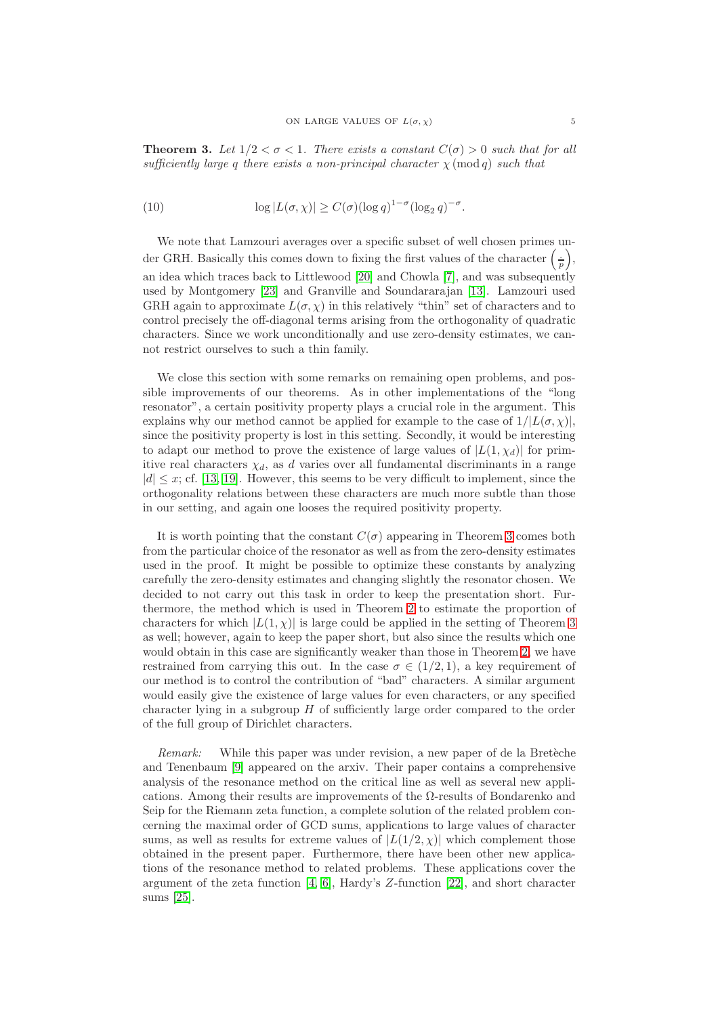<span id="page-4-0"></span>**Theorem 3.** Let  $1/2 < \sigma < 1$ . There exists a constant  $C(\sigma) > 0$  such that for all sufficiently large q there exists a non-principal character  $\chi$  (mod q) such that

(10) 
$$
\log |L(\sigma, \chi)| \ge C(\sigma) (\log q)^{1-\sigma} (\log_2 q)^{-\sigma}.
$$

We note that Lamzouri averages over a specific subset of well chosen primes under GRH. Basically this comes down to fixing the first values of the character  $(\frac{1}{p})$ , an idea which traces back to Littlewood [\[20\]](#page-14-13) and Chowla [\[7\]](#page-13-4), and was subsequently used by Montgomery [\[23\]](#page-14-14) and Granville and Soundararajan [\[13\]](#page-14-12). Lamzouri used GRH again to approximate  $L(\sigma, \chi)$  in this relatively "thin" set of characters and to control precisely the off-diagonal terms arising from the orthogonality of quadratic characters. Since we work unconditionally and use zero-density estimates, we cannot restrict ourselves to such a thin family.

We close this section with some remarks on remaining open problems, and possible improvements of our theorems. As in other implementations of the "long resonator", a certain positivity property plays a crucial role in the argument. This explains why our method cannot be applied for example to the case of  $1/|L(\sigma, \chi)|$ , since the positivity property is lost in this setting. Secondly, it would be interesting to adapt our method to prove the existence of large values of  $|L(1, \chi_d)|$  for primitive real characters  $\chi_d$ , as d varies over all fundamental discriminants in a range  $|d| \leq x$ ; cf. [\[13,](#page-14-12) [19\]](#page-14-15). However, this seems to be very difficult to implement, since the orthogonality relations between these characters are much more subtle than those in our setting, and again one looses the required positivity property.

It is worth pointing that the constant  $C(\sigma)$  appearing in Theorem [3](#page-4-0) comes both from the particular choice of the resonator as well as from the zero-density estimates used in the proof. It might be possible to optimize these constants by analyzing carefully the zero-density estimates and changing slightly the resonator chosen. We decided to not carry out this task in order to keep the presentation short. Furthermore, the method which is used in Theorem [2](#page-2-3) to estimate the proportion of characters for which  $|L(1, \chi)|$  is large could be applied in the setting of Theorem [3](#page-4-0) as well; however, again to keep the paper short, but also since the results which one would obtain in this case are significantly weaker than those in Theorem [2,](#page-2-3) we have restrained from carrying this out. In the case  $\sigma \in (1/2, 1)$ , a key requirement of our method is to control the contribution of "bad" characters. A similar argument would easily give the existence of large values for even characters, or any specified character lying in a subgroup H of sufficiently large order compared to the order of the full group of Dirichlet characters.

Remark: While this paper was under revision, a new paper of de la Bretèche and Tenenbaum [\[9\]](#page-14-16) appeared on the arxiv. Their paper contains a comprehensive analysis of the resonance method on the critical line as well as several new applications. Among their results are improvements of the  $\Omega$ -results of Bondarenko and Seip for the Riemann zeta function, a complete solution of the related problem concerning the maximal order of GCD sums, applications to large values of character sums, as well as results for extreme values of  $|L(1/2, \chi)|$  which complement those obtained in the present paper. Furthermore, there have been other new applications of the resonance method to related problems. These applications cover the argument of the zeta function  $[4, 6]$  $[4, 6]$ , Hardy's Z-function  $[22]$ , and short character sums [\[25\]](#page-14-18).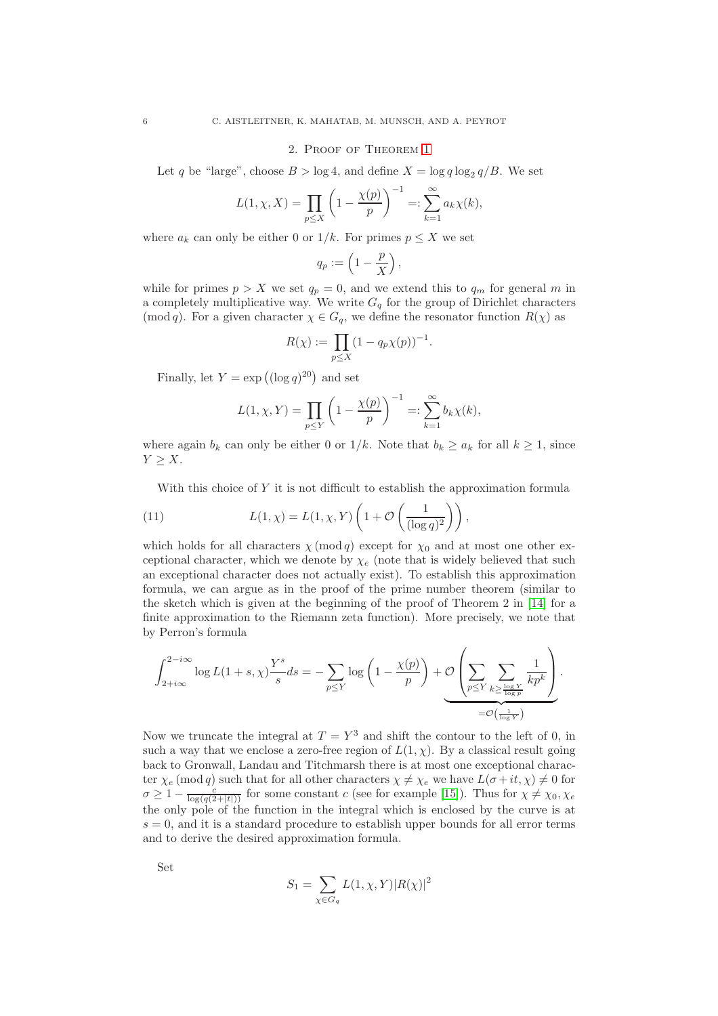### 2. Proof of Theorem [1](#page-2-2)

<span id="page-5-1"></span>Let q be "large", choose  $B > \log 4$ , and define  $X = \log q \log_2 q / B$ . We set

$$
L(1, \chi, X) = \prod_{p \le X} \left( 1 - \frac{\chi(p)}{p} \right)^{-1} =: \sum_{k=1}^{\infty} a_k \chi(k),
$$

where  $a_k$  can only be either 0 or  $1/k$ . For primes  $p \leq X$  we set

$$
q_p := \left(1 - \frac{p}{X}\right),\,
$$

while for primes  $p > X$  we set  $q_p = 0$ , and we extend this to  $q_m$  for general m in a completely multiplicative way. We write  $G_q$  for the group of Dirichlet characters (mod q). For a given character  $\chi \in G_q$ , we define the resonator function  $R(\chi)$  as

$$
R(\chi) := \prod_{p \le X} (1 - q_p \chi(p))^{-1}.
$$

Finally, let  $Y = \exp((\log q)^{20})$  and set

$$
L(1, \chi, Y) = \prod_{p \le Y} \left( 1 - \frac{\chi(p)}{p} \right)^{-1} =: \sum_{k=1}^{\infty} b_k \chi(k),
$$

where again  $b_k$  can only be either 0 or  $1/k$ . Note that  $b_k \ge a_k$  for all  $k \ge 1$ , since  $Y > X$ .

<span id="page-5-0"></span>With this choice of Y it is not difficult to establish the approximation formula

(11) 
$$
L(1,\chi) = L(1,\chi,Y)\left(1 + \mathcal{O}\left(\frac{1}{(\log q)^2}\right)\right),
$$

which holds for all characters  $\chi \pmod{q}$  except for  $\chi_0$  and at most one other exceptional character, which we denote by  $\chi_e$  (note that is widely believed that such an exceptional character does not actually exist). To establish this approximation formula, we can argue as in the proof of the prime number theorem (similar to the sketch which is given at the beginning of the proof of Theorem 2 in [\[14\]](#page-14-10) for a finite approximation to the Riemann zeta function). More precisely, we note that by Perron's formula

$$
\int_{2+i\infty}^{2-i\infty} \log L(1+s,\chi) \frac{Y^s}{s} ds = - \sum_{p \leq Y} \log \left(1 - \frac{\chi(p)}{p} \right) + \underbrace{\mathcal{O} \left( \sum_{p \leq Y} \sum_{k \geq \frac{\log Y}{\log p}} \frac{1}{k p^k} \right)}_{=\mathcal{O} \left( \frac{1}{\log Y} \right)}.
$$

Now we truncate the integral at  $T = Y^3$  and shift the contour to the left of 0, in such a way that we enclose a zero-free region of  $L(1, \chi)$ . By a classical result going back to Gronwall, Landau and Titchmarsh there is at most one exceptional character  $\chi_e \pmod{q}$  such that for all other characters  $\chi \neq \chi_e$  we have  $L(\sigma + it, \chi) \neq 0$  for  $\sigma \geq 1 - \frac{c}{\log(q(2+|t|))}$  for some constant c (see for example [\[15\]](#page-14-19)). Thus for  $\chi \neq \chi_0, \chi_e$ the only pole of the function in the integral which is enclosed by the curve is at  $s = 0$ , and it is a standard procedure to establish upper bounds for all error terms and to derive the desired approximation formula.

Set

$$
S_1=\sum_{\chi\in G_q}L(1,\chi,Y)|R(\chi)|^2
$$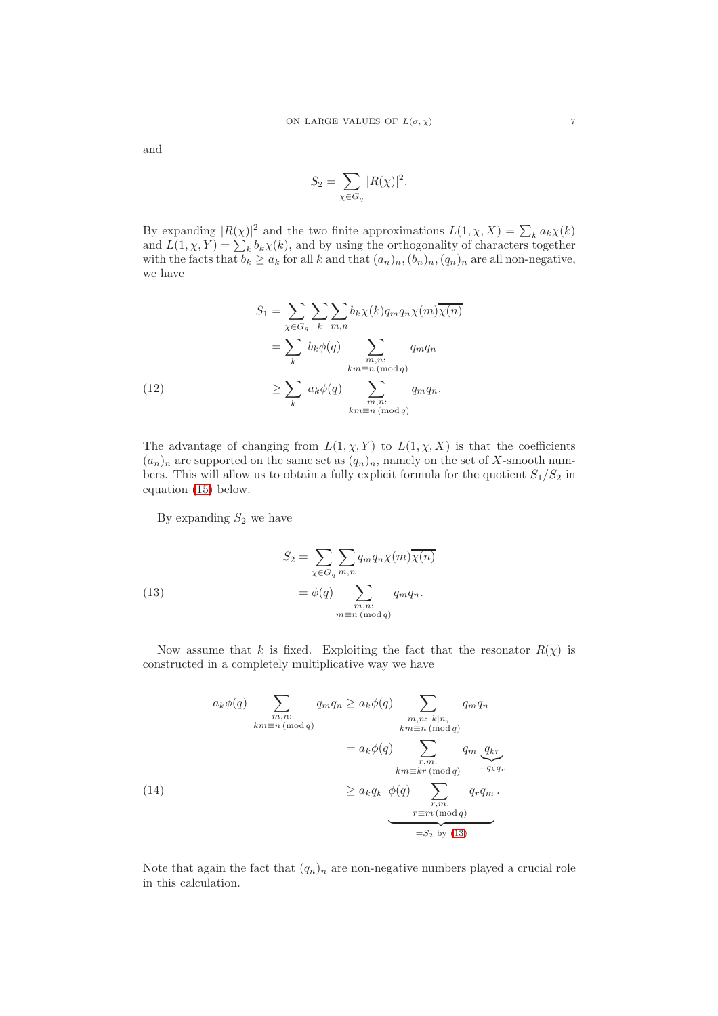and

$$
S_2 = \sum_{\chi \in G_q} |R(\chi)|^2.
$$

By expanding  $|R(\chi)|^2$  and the two finite approximations  $L(1, \chi, X) = \sum_k a_k \chi(k)$ and  $L(1, \chi, Y) = \sum_{k} b_k \chi(k)$ , and by using the orthogonality of characters together with the facts that  $b_k \ge a_k$  for all k and that  $(a_n)_n, (b_n)_n, (q_n)_n$  are all non-negative, we have

(12)  
\n
$$
S_1 = \sum_{\chi \in G_q} \sum_k \sum_{m,n} b_k \chi(k) q_m q_n \chi(m) \overline{\chi(n)}
$$
\n
$$
= \sum_k b_k \phi(q) \sum_{\substack{m,n:\\ km \equiv n \pmod{q} \\ \ldots}} q_m q_n
$$
\n
$$
\geq \sum_k a_k \phi(q) \sum_{\substack{m,n:\\ km \equiv n \pmod{q} \\ \ldots}} q_m q_n.
$$

<span id="page-6-1"></span>The advantage of changing from  $L(1, \chi, Y)$  to  $L(1, \chi, X)$  is that the coefficients  $(a_n)_n$  are supported on the same set as  $(q_n)_n$ , namely on the set of X-smooth numbers. This will allow us to obtain a fully explicit formula for the quotient  $S_1/S_2$  in equation [\(15\)](#page-7-0) below.

By expanding  $S_2$  we have

<span id="page-6-0"></span>(13) 
$$
S_2 = \sum_{\chi \in G_q} \sum_{m,n} q_m q_n \chi(m) \overline{\chi(n)}
$$

$$
= \phi(q) \sum_{\substack{m,n:\\m \equiv n \pmod{q}}} q_m q_n.
$$

Now assume that k is fixed. Exploiting the fact that the resonator  $R(\chi)$  is constructed in a completely multiplicative way we have

$$
a_k \phi(q) \sum_{\substack{m,n:\\ km \equiv n \pmod{q}}} q_m q_n \ge a_k \phi(q) \sum_{\substack{m,n:\\ km \equiv n \pmod{q}}} q_m q_n
$$
  

$$
= a_k \phi(q) \sum_{\substack{r,m:\\ km \equiv kr \pmod{q}}} q_m \underbrace{q_{kr}}_{=q_k q_r}
$$
  

$$
\ge a_k q_k \phi(q) \sum_{\substack{r,m:\\ m \equiv m \pmod{q}}} q_r q_m.
$$
  

$$
= S_2 \text{ by (13)}
$$

<span id="page-6-2"></span>Note that again the fact that  $(q_n)_n$  are non-negative numbers played a crucial role in this calculation.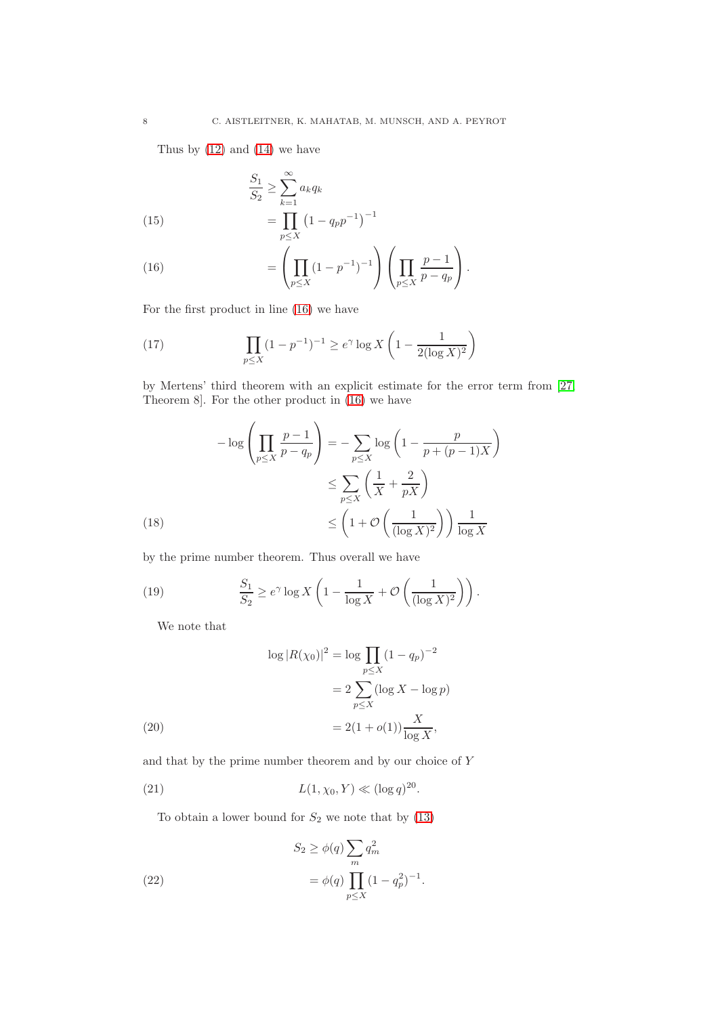Thus by  $(12)$  and  $(14)$  we have

(15) 
$$
\frac{S_1}{S_2} \ge \sum_{k=1}^{\infty} a_k q_k
$$

$$
= \prod_{p \le X} (1 - q_p p^{-1})^{-1}
$$

<span id="page-7-1"></span><span id="page-7-0"></span>(16) 
$$
= \left(\prod_{p \le X} (1 - p^{-1})^{-1}\right) \left(\prod_{p \le X} \frac{p - 1}{p - q_p}\right).
$$

For the first product in line [\(16\)](#page-7-1) we have

<span id="page-7-5"></span>(17) 
$$
\prod_{p \le X} (1 - p^{-1})^{-1} \ge e^{\gamma} \log X \left( 1 - \frac{1}{2(\log X)^2} \right)
$$

by Mertens' third theorem with an explicit estimate for the error term from [\[27,](#page-14-20) Theorem 8]. For the other product in [\(16\)](#page-7-1) we have

(18)  
\n
$$
-\log\left(\prod_{p\leq X} \frac{p-1}{p-q_p}\right) = -\sum_{p\leq X} \log\left(1 - \frac{p}{p+(p-1)X}\right)
$$
\n
$$
\leq \sum_{p\leq X} \left(\frac{1}{X} + \frac{2}{pX}\right)
$$
\n
$$
\leq \left(1 + \mathcal{O}\left(\frac{1}{(\log X)^2}\right)\right) \frac{1}{\log X}
$$

<span id="page-7-6"></span>by the prime number theorem. Thus overall we have

(19) 
$$
\frac{S_1}{S_2} \ge e^{\gamma} \log X \left( 1 - \frac{1}{\log X} + \mathcal{O}\left(\frac{1}{(\log X)^2}\right) \right).
$$

<span id="page-7-2"></span>We note that

(20)  
\n
$$
\log |R(\chi_0)|^2 = \log \prod_{p \le X} (1 - q_p)^{-2}
$$
\n
$$
= 2 \sum_{p \le X} (\log X - \log p)
$$
\n
$$
= 2(1 + o(1)) \frac{X}{\log X},
$$

<span id="page-7-3"></span>and that by the prime number theorem and by our choice of Y

(21) 
$$
L(1, \chi_0, Y) \ll (\log q)^{20}
$$
.

<span id="page-7-4"></span>To obtain a lower bound for  $\mathcal{S}_2$  we note that by [\(13\)](#page-6-0)

(22) 
$$
S_2 \ge \phi(q) \sum_m q_m^2
$$

$$
= \phi(q) \prod_{p \le X} (1 - q_p^2)^{-1}.
$$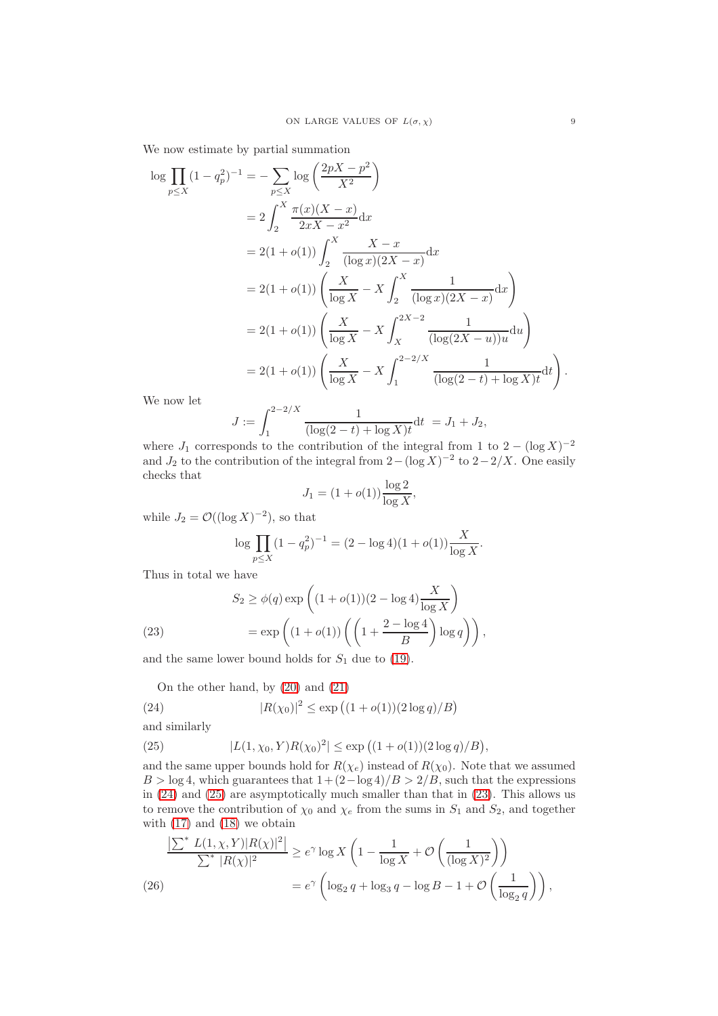We now estimate by partial summation

$$
\log \prod_{p \le X} (1 - q_p^2)^{-1} = -\sum_{p \le X} \log \left( \frac{2pX - p^2}{X^2} \right)
$$
  
=  $2 \int_2^X \frac{\pi(x)(X - x)}{2xX - x^2} dx$   
=  $2(1 + o(1)) \int_2^X \frac{X - x}{(\log x)(2X - x)} dx$   
=  $2(1 + o(1)) \left( \frac{X}{\log X} - X \int_2^X \frac{1}{(\log x)(2X - x)} dx \right)$   
=  $2(1 + o(1)) \left( \frac{X}{\log X} - X \int_X^{2X - 2} \frac{1}{(\log(2X - u))u} du \right)$   
=  $2(1 + o(1)) \left( \frac{X}{\log X} - X \int_1^{2 - 2/X} \frac{1}{(\log(2 - t) + \log X)t} dt \right).$ 

We now let

$$
J := \int_1^{2-2/X} \frac{1}{(\log(2-t) + \log X)t} \mathrm{d}t = J_1 + J_2,
$$

where  $J_1$  corresponds to the contribution of the integral from 1 to 2 – (log X)<sup>-2</sup> and  $J_2$  to the contribution of the integral from  $2-(\log X)^{-2}$  to  $2-2/X$ . One easily checks that

$$
J_1 = (1 + o(1)) \frac{\log 2}{\log X},
$$

while  $J_2 = \mathcal{O}((\log X)^{-2})$ , so that

$$
\log \prod_{p \le X} (1 - q_p^2)^{-1} = (2 - \log 4)(1 + o(1)) \frac{X}{\log X}.
$$

Thus in total we have

(23) 
$$
S_2 \ge \phi(q) \exp\left((1 + o(1))(2 - \log 4)\frac{X}{\log X}\right)
$$

$$
= \exp\left((1 + o(1))\left(\left(1 + \frac{2 - \log 4}{B}\right)\log q\right)\right),
$$

<span id="page-8-2"></span>and the same lower bound holds for  $S_1$  due to [\(19\)](#page-7-2).

<span id="page-8-0"></span>On the other hand, by [\(20\)](#page-7-3) and [\(21\)](#page-7-4)

(24) 
$$
|R(\chi_0)|^2 \le \exp\left((1+o(1))(2\log q)/B\right)
$$

and similarly

<span id="page-8-1"></span>(25) 
$$
|L(1,\chi_0,Y)R(\chi_0)^2| \le \exp\big((1+o(1))(2\log q)/B\big),
$$

and the same upper bounds hold for  $R(\chi_e)$  instead of  $R(\chi_0)$ . Note that we assumed  $B > \log 4$ , which guarantees that  $1 + (2 - \log 4)/B > 2/B$ , such that the expressions in [\(24\)](#page-8-0) and [\(25\)](#page-8-1) are asymptotically much smaller than that in [\(23\)](#page-8-2). This allows us to remove the contribution of  $\chi_0$  and  $\chi_e$  from the sums in  $S_1$  and  $S_2$ , and together with [\(17\)](#page-7-5) and [\(18\)](#page-7-6) we obtain

<span id="page-8-3"></span>
$$
\frac{\left|\sum^* L(1,\chi,Y)|R(\chi)|^2\right|}{\sum^* |R(\chi)|^2} \ge e^{\gamma} \log X \left(1 - \frac{1}{\log X} + \mathcal{O}\left(\frac{1}{(\log X)^2}\right)\right)
$$
  

$$
= e^{\gamma} \left(\log_2 q + \log_3 q - \log B - 1 + \mathcal{O}\left(\frac{1}{\log_2 q}\right)\right),
$$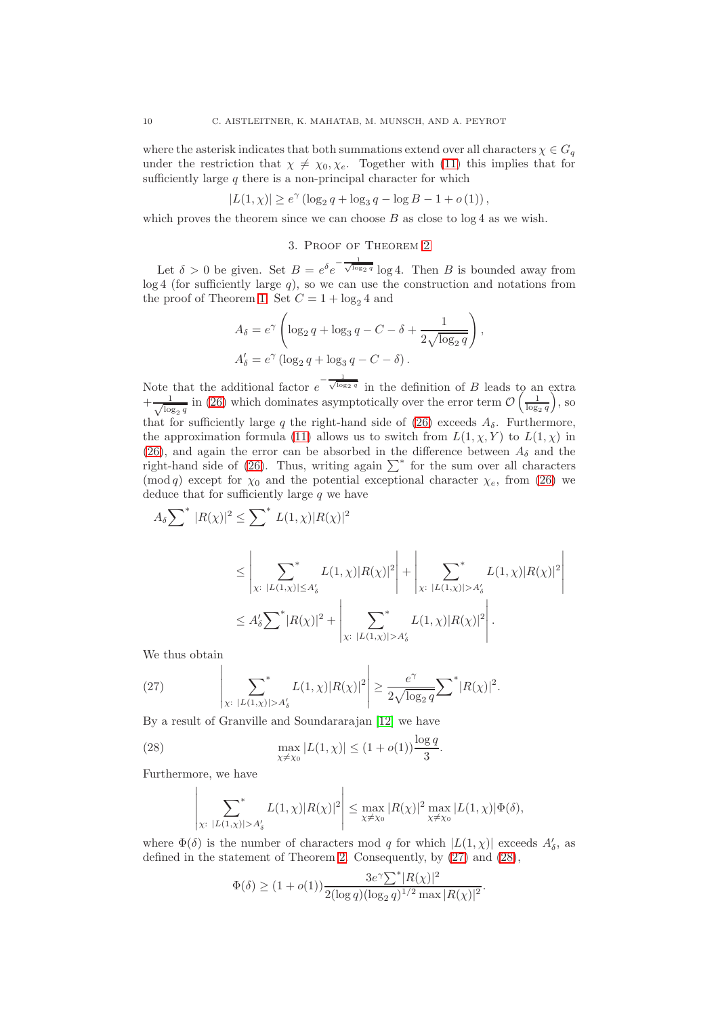where the asterisk indicates that both summations extend over all characters  $\chi \in G_q$ under the restriction that  $\chi \neq \chi_0, \chi_e$ . Together with [\(11\)](#page-5-0) this implies that for sufficiently large  $q$  there is a non-principal character for which

$$
|L(1, \chi)| \ge e^{\gamma} (\log_2 q + \log_3 q - \log B - 1 + o(1)),
$$

which proves the theorem since we can choose  $B$  as close to  $\log 4$  as we wish.

# 3. Proof of Theorem [2](#page-2-3)

Let  $\delta > 0$  be given. Set  $B = e^{\delta} e^{-\frac{1}{\sqrt{\log 2 q}}} \log 4$ . Then B is bounded away from  $log 4$  (for sufficiently large  $q$ ), so we can use the construction and notations from the proof of Theorem [1.](#page-2-2) Set  $C = 1 + \log_2 4$  and

$$
A_{\delta} = e^{\gamma} \left( \log_2 q + \log_3 q - C - \delta + \frac{1}{2\sqrt{\log_2 q}} \right),
$$
  

$$
A'_{\delta} = e^{\gamma} \left( \log_2 q + \log_3 q - C - \delta \right).
$$

Note that the additional factor  $e^{-\frac{1}{\sqrt{\log_2 q}}}$  in the definition of B leads to an extra  $+\frac{1}{\sqrt{10}}$  $\frac{1}{\log_2 q}$  in [\(26\)](#page-8-3) which dominates asymptotically over the error term  $\mathcal{O}\left(\frac{1}{\log_2 q}\right)$ , so that for sufficiently large q the right-hand side of [\(26\)](#page-8-3) exceeds  $A_{\delta}$ . Furthermore, the approximation formula [\(11\)](#page-5-0) allows us to switch from  $L(1, \chi, Y)$  to  $L(1, \chi)$  in [\(26\)](#page-8-3), and again the error can be absorbed in the difference between  $A_{\delta}$  and the right-hand side of [\(26\)](#page-8-3). Thus, writing again  $\sum^*$  for the sum over all characters (mod q) except for  $\chi_0$  and the potential exceptional character  $\chi_e$ , from [\(26\)](#page-8-3) we deduce that for sufficiently large  $q$  we have

$$
A_{\delta} \sum^{*} |R(\chi)|^{2} \leq \sum^{*} L(1,\chi)|R(\chi)|^{2}
$$
  
\n
$$
\leq \left| \sum_{\chi: |L(1,\chi)| \leq A'_{\delta}} L(1,\chi)|R(\chi)|^{2} \right| + \left| \sum_{\chi: |L(1,\chi)| > A'_{\delta}} L(1,\chi)|R(\chi)|
$$
  
\n
$$
\leq A'_{\delta} \sum^{*} |R(\chi)|^{2} + \left| \sum_{\chi: |L(1,\chi)| > A'_{\delta}} L(1,\chi)|R(\chi)|^{2} \right|.
$$

2  $\overline{\phantom{a}}$ I I I I  $\overline{\phantom{a}}$ 

We thus obtain

<span id="page-9-0"></span>(27) 
$$
\left| \sum_{\chi: |L(1,\chi)| > A'_\delta} L(1,\chi) |R(\chi)|^2 \right| \geq \frac{e^\gamma}{2\sqrt{\log_2 q}} \sum^* |R(\chi)|^2.
$$

By a result of Granville and Soundararajan [\[12\]](#page-14-7) we have

(28) 
$$
\max_{\chi \neq \chi_0} |L(1,\chi)| \le (1 + o(1)) \frac{\log q}{3}.
$$

Furthermore, we have

<span id="page-9-1"></span>
$$
\left|\sum_{\chi:\ |L(1,\chi)|>A'_\delta} L(1,\chi)|R(\chi)|^2\right| \leq \max_{\chi\neq\chi_0}|R(\chi)|^2 \max_{\chi\neq\chi_0}|L(1,\chi)|\Phi(\delta),
$$

where  $\Phi(\delta)$  is the number of characters mod q for which  $|L(1,\chi)|$  exceeds  $A'_{\delta}$ , as defined in the statement of Theorem [2.](#page-2-3) Consequently, by [\(27\)](#page-9-0) and [\(28\)](#page-9-1),

$$
\Phi(\delta) \ge (1 + o(1)) \frac{3e^{\gamma} \sum^* |R(\chi)|^2}{2(\log q)(\log_2 q)^{1/2} \max |R(\chi)|^2}.
$$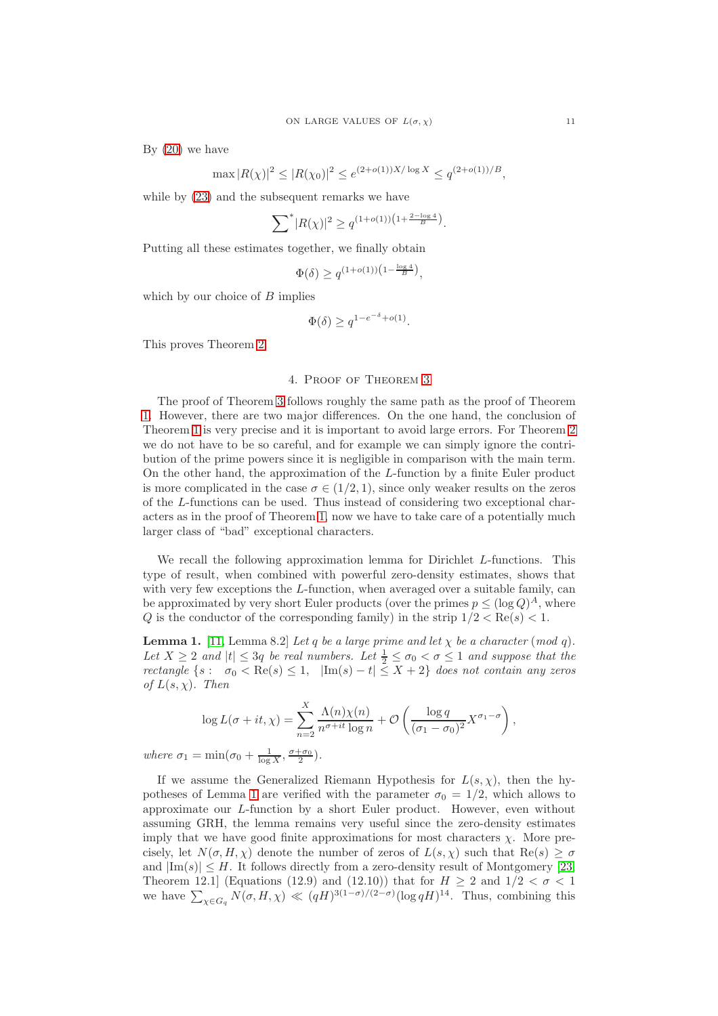By  $(20)$  we have

$$
\max |R(\chi)|^2 \le |R(\chi_0)|^2 \le e^{(2+o(1))X/\log X} \le q^{(2+o(1))/B},
$$

while by [\(23\)](#page-8-2) and the subsequent remarks we have

$$
\sum^* |R(\chi)|^2 \ge q^{(1+o(1))\left(1 + \frac{2-\log 4}{B}\right)}.
$$

Putting all these estimates together, we finally obtain

$$
\Phi(\delta) \ge q^{(1+o(1))\left(1 - \frac{\log 4}{B}\right)}
$$

,

which by our choice of  $B$  implies

$$
\Phi(\delta) \geq q^{1-e^{-\delta} + o(1)}.
$$

This proves Theorem [2.](#page-2-3)

# 4. Proof of Theorem [3](#page-4-0)

The proof of Theorem [3](#page-4-0) follows roughly the same path as the proof of Theorem [1.](#page-2-2) However, there are two major differences. On the one hand, the conclusion of Theorem [1](#page-2-2) is very precise and it is important to avoid large errors. For Theorem [2](#page-2-3) we do not have to be so careful, and for example we can simply ignore the contribution of the prime powers since it is negligible in comparison with the main term. On the other hand, the approximation of the L-function by a finite Euler product is more complicated in the case  $\sigma \in (1/2, 1)$ , since only weaker results on the zeros of the L-functions can be used. Thus instead of considering two exceptional characters as in the proof of Theorem [1,](#page-2-2) now we have to take care of a potentially much larger class of "bad" exceptional characters.

We recall the following approximation lemma for Dirichlet L-functions. This type of result, when combined with powerful zero-density estimates, shows that with very few exceptions the  $L$ -function, when averaged over a suitable family, can be approximated by very short Euler products (over the primes  $p \leq (\log Q)^A$ , where Q is the conductor of the corresponding family) in the strip  $1/2 < \text{Re}(s) < 1$ .

<span id="page-10-0"></span>**Lemma 1.** [\[11,](#page-14-21) Lemma 8.2] Let q be a large prime and let  $\chi$  be a character (mod q). Let  $X \geq 2$  and  $|t| \leq 3q$  be real numbers. Let  $\frac{1}{2} \leq \sigma_0 < \sigma \leq 1$  and suppose that the rectangle  $\{s : \sigma_0 < \text{Re}(s) \leq 1, \ |\text{Im}(s) - t| \leq X + 2\}$  does not contain any zeros of  $L(s, \chi)$ . Then

$$
\log L(\sigma + it, \chi) = \sum_{n=2}^{X} \frac{\Lambda(n)\chi(n)}{n^{\sigma+it} \log n} + \mathcal{O}\left(\frac{\log q}{(\sigma_1 - \sigma_0)^2} X^{\sigma_1 - \sigma}\right),\,
$$

where  $\sigma_1 = \min(\sigma_0 + \frac{1}{\log X}, \frac{\sigma + \sigma_0}{2}).$ 

If we assume the Generalized Riemann Hypothesis for  $L(s, \chi)$ , then the hy-potheses of Lemma [1](#page-10-0) are verified with the parameter  $\sigma_0 = 1/2$ , which allows to approximate our L-function by a short Euler product. However, even without assuming GRH, the lemma remains very useful since the zero-density estimates imply that we have good finite approximations for most characters  $\chi$ . More precisely, let  $N(\sigma, H, \chi)$  denote the number of zeros of  $L(s, \chi)$  such that  $\text{Re}(s) \geq \sigma$ and  $|\text{Im}(s)| \leq H$ . It follows directly from a zero-density result of Montgomery [\[23,](#page-14-14) Theorem 12.1] (Equations (12.9) and (12.10)) that for  $H \geq 2$  and  $1/2 < \sigma < 1$ we have  $\sum_{\chi \in G_q} N(\sigma, H, \chi) \ll (qH)^{3(1-\sigma)/(2-\sigma)} (\log qH)^{14}$ . Thus, combining this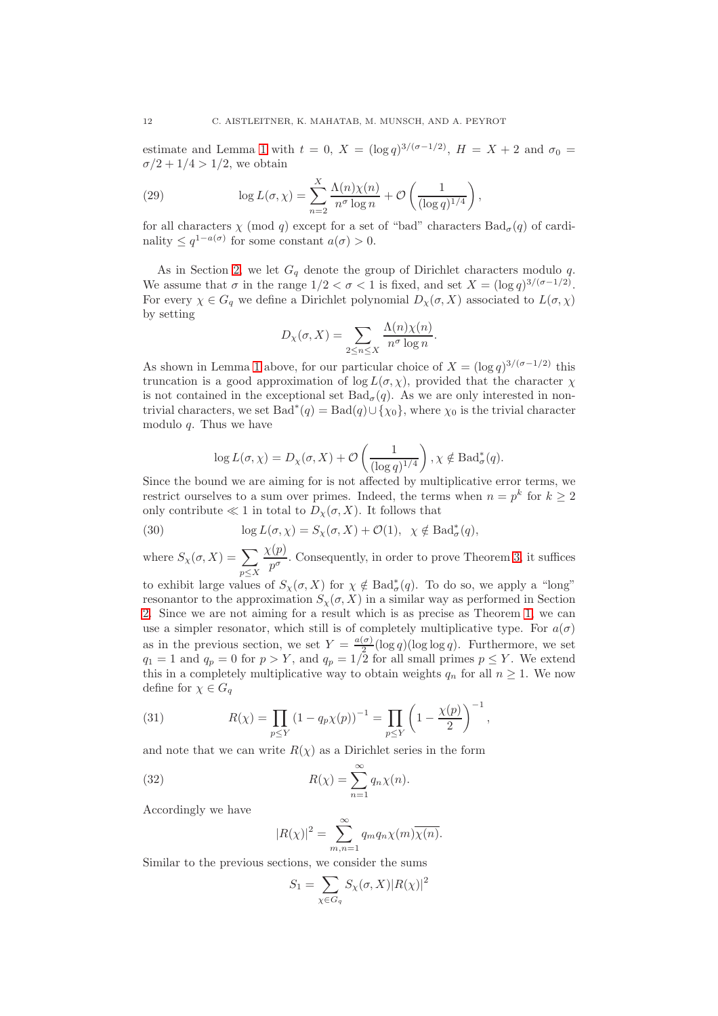estimate and Lemma [1](#page-10-0) with  $t = 0$ ,  $X = (\log q)^{3/(\sigma-1/2)}$ ,  $H = X + 2$  and  $\sigma_0 =$  $\sigma/2 + 1/4 > 1/2$ , we obtain

(29) 
$$
\log L(\sigma, \chi) = \sum_{n=2}^{X} \frac{\Lambda(n)\chi(n)}{n^{\sigma} \log n} + \mathcal{O}\left(\frac{1}{(\log q)^{1/4}}\right),
$$

for all characters  $\chi$  (mod q) except for a set of "bad" characters  $Bad_{\sigma}(q)$  of cardinality  $\leq q^{1-a(\sigma)}$  for some constant  $a(\sigma) > 0$ .

As in Section [2,](#page-5-1) we let  $G_q$  denote the group of Dirichlet characters modulo q. We assume that  $\sigma$  in the range  $1/2 < \sigma < 1$  is fixed, and set  $X = (\log q)^{3/(\sigma - 1/2)}$ . For every  $\chi \in G_q$  we define a Dirichlet polynomial  $D_\chi(\sigma, X)$  associated to  $L(\sigma, \chi)$ by setting

$$
D_{\chi}(\sigma, X) = \sum_{2 \le n \le X} \frac{\Lambda(n)\chi(n)}{n^{\sigma} \log n}.
$$

As shown in Lemma [1](#page-10-0) above, for our particular choice of  $X = (\log q)^{3/(\sigma-1/2)}$  this truncation is a good approximation of  $\log L(\sigma, \chi)$ , provided that the character  $\chi$ is not contained in the exceptional set  $Bad_{\sigma}(q)$ . As we are only interested in nontrivial characters, we set  $Bad^*(q) = Bad(q) \cup {\chi_0}$ , where  $\chi_0$  is the trivial character modulo  $q$ . Thus we have

<span id="page-11-1"></span>
$$
\log L(\sigma, \chi) = D_{\chi}(\sigma, X) + \mathcal{O}\left(\frac{1}{(\log q)^{1/4}}\right), \chi \notin \text{Bad}^*_{\sigma}(q).
$$

Since the bound we are aiming for is not affected by multiplicative error terms, we restrict ourselves to a sum over primes. Indeed, the terms when  $n = p^k$  for  $k \ge 2$ only contribute  $\ll 1$  in total to  $D_{\gamma}(\sigma, X)$ . It follows that

(30) 
$$
\log L(\sigma, \chi) = S_{\chi}(\sigma, X) + \mathcal{O}(1), \quad \chi \notin \text{Bad}^*_{\sigma}(q),
$$

where  $S_{\chi}(\sigma, X) = \sum$  $p\leq X$  $\chi(p)$  $\frac{\Delta V}{p^{\sigma}}$ . Consequently, in order to prove Theorem [3,](#page-4-0) it suffices

to exhibit large values of  $S_{\chi}(\sigma, X)$  for  $\chi \notin \text{Bad}^*_{\sigma}(q)$ . To do so, we apply a "long" resonantor to the approximation  $S_{\chi}(\sigma, X)$  in a similar way as performed in Section [2.](#page-5-1) Since we are not aiming for a result which is as precise as Theorem [1,](#page-2-2) we can use a simpler resonator, which still is of completely multiplicative type. For  $a(\sigma)$ as in the previous section, we set  $Y = \frac{a(\sigma)}{2}$  $\frac{a}{2}$ (log q)(log log q). Furthermore, we set  $q_1 = 1$  and  $q_p = 0$  for  $p > Y$ , and  $q_p = 1/2$  for all small primes  $p \leq Y$ . We extend this in a completely multiplicative way to obtain weights  $q_n$  for all  $n \geq 1$ . We now define for  $\chi \in G_q$ 

<span id="page-11-0"></span>(31) 
$$
R(\chi) = \prod_{p \le Y} (1 - q_p \chi(p))^{-1} = \prod_{p \le Y} \left(1 - \frac{\chi(p)}{2}\right)^{-1},
$$

and note that we can write  $R(\chi)$  as a Dirichlet series in the form

(32) 
$$
R(\chi) = \sum_{n=1}^{\infty} q_n \chi(n).
$$

Accordingly we have

$$
|R(\chi)|^2 = \sum_{m,n=1}^{\infty} q_m q_n \chi(m) \overline{\chi(n)}.
$$

Similar to the previous sections, we consider the sums

$$
S_1 = \sum_{\chi \in G_q} S_{\chi}(\sigma, X) |R(\chi)|^2
$$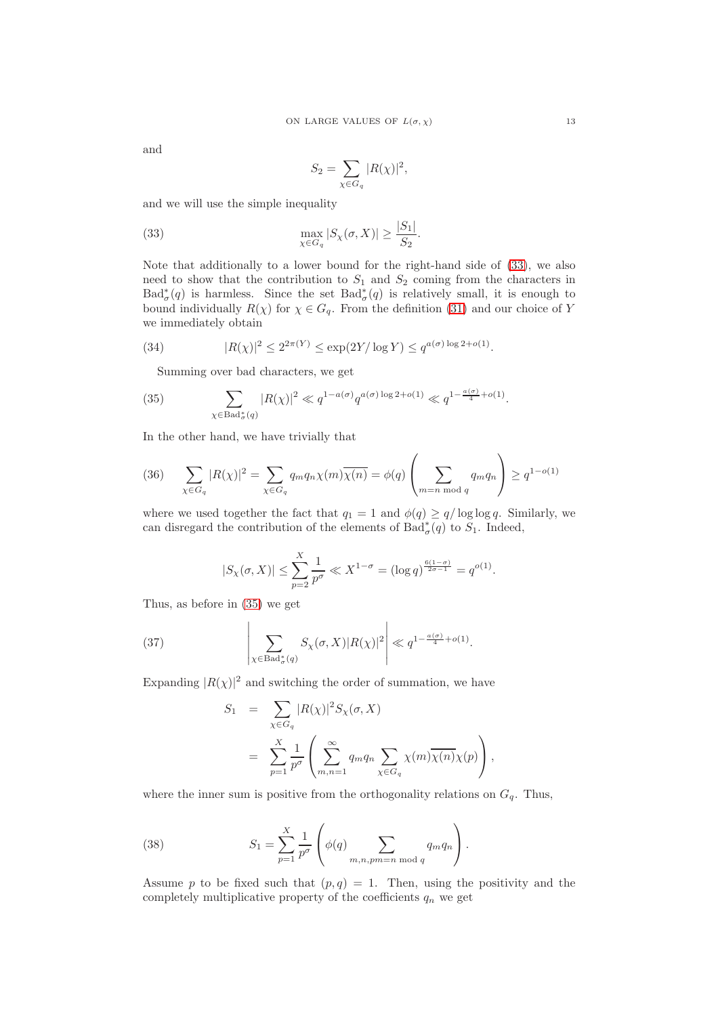and

<span id="page-12-0"></span>
$$
S_2 = \sum_{\chi \in G_q} |R(\chi)|^2,
$$

and we will use the simple inequality

(33) 
$$
\max_{\chi \in G_q} |S_{\chi}(\sigma, X)| \ge \frac{|S_1|}{S_2}.
$$

Note that additionally to a lower bound for the right-hand side of [\(33\)](#page-12-0), we also need to show that the contribution to  $S_1$  and  $S_2$  coming from the characters in  $Bad^*_{\sigma}(q)$  is harmless. Since the set  $Bad^*_{\sigma}(q)$  is relatively small, it is enough to bound individually  $R(\chi)$  for  $\chi \in G_q$ . From the definition [\(31\)](#page-11-0) and our choice of Y we immediately obtain

(34) 
$$
|R(\chi)|^2 \le 2^{2\pi(Y)} \le \exp(2Y/\log Y) \le q^{a(\sigma)\log 2 + o(1)}.
$$

<span id="page-12-1"></span>Summing over bad characters, we get

(35) 
$$
\sum_{\chi \in \text{Bad}_{\sigma}^*(q)} |R(\chi)|^2 \ll q^{1 - a(\sigma)} q^{a(\sigma) \log 2 + o(1)} \ll q^{1 - \frac{a(\sigma)}{4} + o(1)}.
$$

In the other hand, we have trivially that

<span id="page-12-3"></span>
$$
(36) \qquad \sum_{\chi \in G_q} |R(\chi)|^2 = \sum_{\chi \in G_q} q_m q_n \chi(m) \overline{\chi(n)} = \phi(q) \left( \sum_{m=n \bmod q} q_m q_n \right) \ge q^{1-o(1)}
$$

where we used together the fact that  $q_1 = 1$  and  $\phi(q) \geq q/\log \log q$ . Similarly, we can disregard the contribution of the elements of  $Bad^*_{\sigma}(q)$  to  $S_1$ . Indeed,

$$
|S_{\chi}(\sigma, X)| \le \sum_{p=2}^{X} \frac{1}{p^{\sigma}} \ll X^{1-\sigma} = (\log q)^{\frac{6(1-\sigma)}{2\sigma-1}} = q^{o(1)}.
$$

Thus, as before in [\(35\)](#page-12-1) we get

<span id="page-12-4"></span> $\mathbf{r}$ 

(37) 
$$
\left| \sum_{\chi \in \text{Bad}_{\sigma}^*(q)} S_{\chi}(\sigma, X) |R(\chi)|^2 \right| \ll q^{1 - \frac{a(\sigma)}{4} + o(1)}.
$$

Expanding  $|R(\chi)|^2$  and switching the order of summation, we have

$$
S_1 = \sum_{\chi \in G_q} |R(\chi)|^2 S_{\chi}(\sigma, X)
$$
  
= 
$$
\sum_{p=1}^X \frac{1}{p^{\sigma}} \left( \sum_{m,n=1}^{\infty} q_m q_n \sum_{\chi \in G_q} \chi(m) \overline{\chi(n)} \chi(p) \right),
$$

where the inner sum is positive from the orthogonality relations on  $G_q$ . Thus,

<span id="page-12-2"></span>(38) 
$$
S_1 = \sum_{p=1}^{X} \frac{1}{p^{\sigma}} \left( \phi(q) \sum_{m,n, pm=n \bmod q} q_m q_n \right).
$$

Assume p to be fixed such that  $(p, q) = 1$ . Then, using the positivity and the completely multiplicative property of the coefficients  $q_n$  we get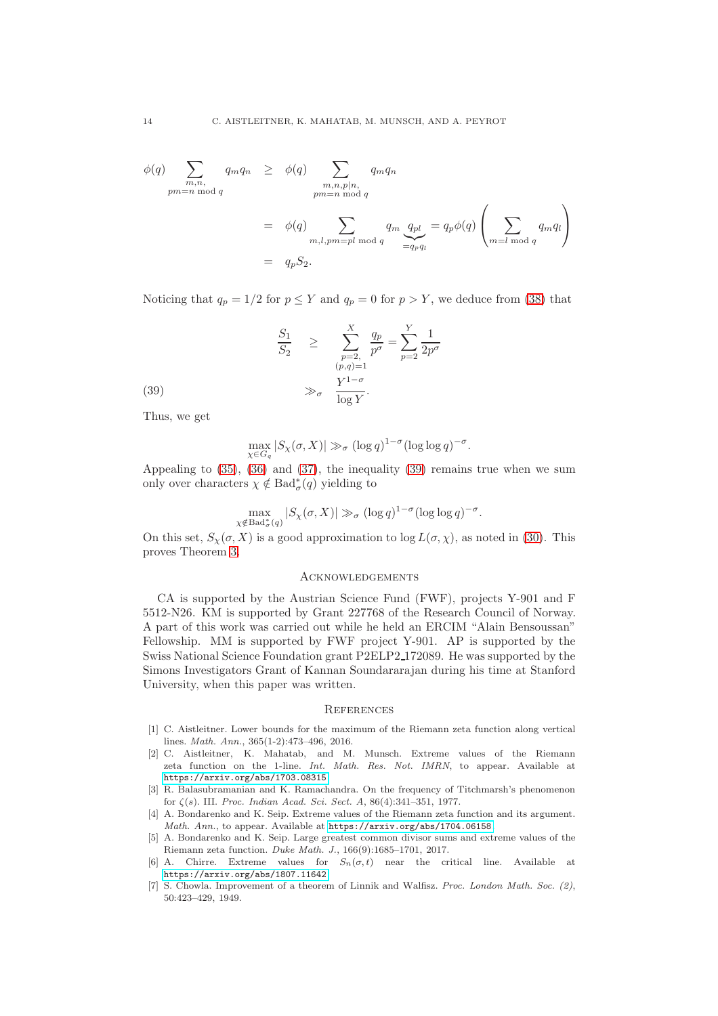$$
\phi(q) \sum_{\substack{m,n, \text{mod } q}} q_m q_n \geq \phi(q) \sum_{\substack{m,n,p|n, \text{mod } q}} q_m q_n
$$
  
= 
$$
\phi(q) \sum_{\substack{m, l, pm = pl \bmod q}} q_m q_{pl} = q_p \phi(q) \left( \sum_{m=l \bmod q} q_m q_l \right)
$$
  
= 
$$
q_p S_2.
$$

Noticing that  $q_p = 1/2$  for  $p \le Y$  and  $q_p = 0$  for  $p > Y$ , we deduce from [\(38\)](#page-12-2) that

(39) 
$$
\frac{S_1}{S_2} \ge \sum_{\substack{p=2, \ p\sigma}}^X \frac{q_p}{p^{\sigma}} = \sum_{p=2}^Y \frac{1}{2p^{\sigma}}
$$

$$
\gg_{\sigma} \frac{Y^{1-\sigma}}{\log Y}.
$$

Thus, we get

<span id="page-13-7"></span>
$$
\max_{\chi \in G_q} |S_{\chi}(\sigma, X)| \gg_{\sigma} (\log q)^{1-\sigma} (\log \log q)^{-\sigma}.
$$

Appealing to [\(35\)](#page-12-1), [\(36\)](#page-12-3) and [\(37\)](#page-12-4), the inequality [\(39\)](#page-13-7) remains true when we sum only over characters  $\chi \notin \text{Bad}^*_{\sigma}(q)$  yielding to

$$
\max_{\chi \notin \text{Bad}_{\sigma}^*(q)} |S_{\chi}(\sigma, X)| \gg_{\sigma} (\log q)^{1-\sigma} (\log \log q)^{-\sigma}.
$$

On this set,  $S_{\gamma}(\sigma, X)$  is a good approximation to  $\log L(\sigma, \chi)$ , as noted in [\(30\)](#page-11-1). This proves Theorem [3.](#page-4-0)

### **ACKNOWLEDGEMENTS**

CA is supported by the Austrian Science Fund (FWF), projects Y-901 and F 5512-N26. KM is supported by Grant 227768 of the Research Council of Norway. A part of this work was carried out while he held an ERCIM "Alain Bensoussan" Fellowship. MM is supported by FWF project Y-901. AP is supported by the Swiss National Science Foundation grant P2ELP2 172089. He was supported by the Simons Investigators Grant of Kannan Soundararajan during his time at Stanford University, when this paper was written.

### **REFERENCES**

- <span id="page-13-1"></span>[1] C. Aistleitner. Lower bounds for the maximum of the Riemann zeta function along vertical lines. *Math. Ann.*, 365(1-2):473–496, 2016.
- <span id="page-13-3"></span>[2] C. Aistleitner, K. Mahatab, and M. Munsch. Extreme values of the Riemann zeta function on the 1-line. *Int. Math. Res. Not. IMRN*, to appear. Available at <https://arxiv.org/abs/1703.08315>.
- <span id="page-13-0"></span>[3] R. Balasubramanian and K. Ramachandra. On the frequency of Titchmarsh's phenomenon for ζ(s). III. *Proc. Indian Acad. Sci. Sect. A*, 86(4):341–351, 1977.
- <span id="page-13-5"></span>[4] A. Bondarenko and K. Seip. Extreme values of the Riemann zeta function and its argument. *Math. Ann.*, to appear. Available at <https://arxiv.org/abs/1704.06158>.
- <span id="page-13-2"></span>[5] A. Bondarenko and K. Seip. Large greatest common divisor sums and extreme values of the Riemann zeta function. *Duke Math. J.*, 166(9):1685–1701, 2017.
- <span id="page-13-6"></span>[6] A. Chirre. Extreme values for  $S_n(\sigma, t)$  near the critical line. Available at <https://arxiv.org/abs/1807.11642>.
- <span id="page-13-4"></span>[7] S. Chowla. Improvement of a theorem of Linnik and Walfisz. *Proc. London Math. Soc. (2)*, 50:423–429, 1949.